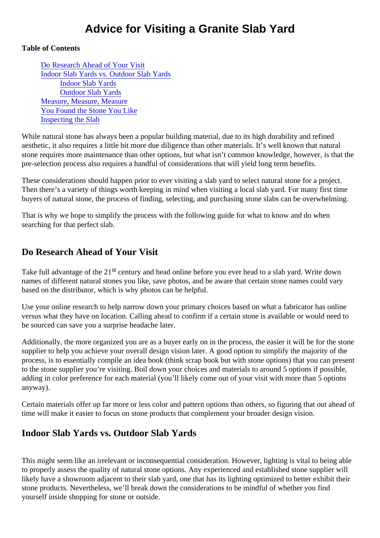# Advice for Visiting a Granite Slab Yard

Table of Contents

Do Research Ahead of Your Visit Indoor Slab Yards vs. Outdoor Slab Yards [Indoor Slab Yard](#page-1-0)s [Outdoor Slab Yard](#page-1-0)s [Measure, Measure, Meas](#page-1-0)ure [You Found the Stone You Lik](#page-1-0)e [Inspecting the Sla](#page-2-0)b

While natural stone has always been a popular building material, due to its high durability and refined aesthetic, it also requires a little bit more due diligence than other materials. It's well known that natural stone requires more maintenance than other options, but what isn't common knowledge, however, is that the pre-selection process also requires a handful of considerations that will yield long term benefits.

These considerations should happen prior to ever visiting a slab yard to select natural stone for a project. Then there's a variety of things worth keeping in mind when visiting a local slab yard. For many first time buyers of natural stone, the process of finding, selecting, and purchasing stone slabs can be overwhelmin

That is why we hope to simplify the process with the following guide for what to know and do when searching for that perfect slab.

### Do Research Ahead of Your Visit

Take full advantage of the  $\frac{1}{2}$  century and head online before you ever head to a slab yard. Write down names of different natural stones you like, save photos, and be aware that certain stone names could vary based on the distributor, which is why photos can be helpful.

Use your online research to help narrow down your primary choices based on what a fabricator has online versus what they have on location. Calling ahead to confirm if a certain stone is available or would need to be sourced can save you a surprise headache later.

Additionally, the more organized you are as a buyer early on in the process, the easier it will be for the sto supplier to help you achieve your overall design vision later. A good option to simplify the majority of the process, is to essentially compile an idea book (think scrap book but with stone options) that you can pres to the stone supplier you're visiting. Boil down your choices and materials to around 5 options if possible, adding in color preference for each material (you'll likely come out of your visit with more than 5 options anyway).

Certain materials offer up far more or less color and pattern options than others, so figuring that out ahead time will make it easier to focus on stone products that complement your broader design vision.

#### Indoor Slab Yards vs. Outdoor Slab Yards

This might seem like an irrelevant or inconsequential consideration. However, lighting is vital to being able to properly assess the quality of natural stone options. Any experienced and established stone supplier will likely have a showroom adjacent to their slab yard, one that has its lighting optimized to better exhibit their stone products. Nevertheless, we'll break down the considerations to be mindful of whether you find yourself inside shopping for stone or outside.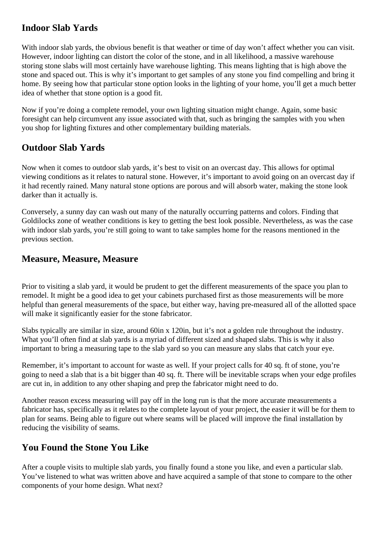## <span id="page-1-0"></span>**Indoor Slab Yards**

With indoor slab vards, the obvious benefit is that weather or time of day won't affect whether you can visit. However, indoor lighting can distort the color of the stone, and in all likelihood, a massive warehouse storing stone slabs will most certainly have warehouse lighting. This means lighting that is high above the stone and spaced out. This is why it's important to get samples of any stone you find compelling and bring it home. By seeing how that particular stone option looks in the lighting of your home, you'll get a much better idea of whether that stone option is a good fit.

Now if you're doing a complete remodel, your own lighting situation might change. Again, some basic foresight can help circumvent any issue associated with that, such as bringing the samples with you when you shop for lighting fixtures and other complementary building materials.

## **Outdoor Slab Yards**

Now when it comes to outdoor slab yards, it's best to visit on an overcast day. This allows for optimal viewing conditions as it relates to natural stone. However, it's important to avoid going on an overcast day if it had recently rained. Many natural stone options are porous and will absorb water, making the stone look darker than it actually is.

Conversely, a sunny day can wash out many of the naturally occurring patterns and colors. Finding that Goldilocks zone of weather conditions is key to getting the best look possible. Nevertheless, as was the case with indoor slab yards, you're still going to want to take samples home for the reasons mentioned in the previous section.

#### **Measure, Measure, Measure**

Prior to visiting a slab yard, it would be prudent to get the different measurements of the space you plan to remodel. It might be a good idea to get your cabinets purchased first as those measurements will be more helpful than general measurements of the space, but either way, having pre-measured all of the allotted space will make it significantly easier for the stone fabricator.

Slabs typically are similar in size, around 60in x 120in, but it's not a golden rule throughout the industry. What you'll often find at slab yards is a myriad of different sized and shaped slabs. This is why it also important to bring a measuring tape to the slab yard so you can measure any slabs that catch your eye.

Remember, it's important to account for waste as well. If your project calls for 40 sq. ft of stone, you're going to need a slab that is a bit bigger than 40 sq. ft. There will be inevitable scraps when your edge profiles are cut in, in addition to any other shaping and prep the fabricator might need to do.

Another reason excess measuring will pay off in the long run is that the more accurate measurements a fabricator has, specifically as it relates to the complete layout of your project, the easier it will be for them to plan for seams. Being able to figure out where seams will be placed will improve the final installation by reducing the visibility of seams.

## **You Found the Stone You Like**

After a couple visits to multiple slab yards, you finally found a stone you like, and even a particular slab. You've listened to what was written above and have acquired a sample of that stone to compare to the other components of your home design. What next?